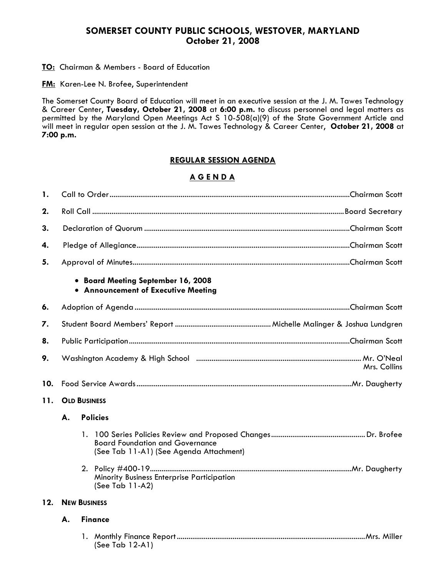## **SOMERSET COUNTY PUBLIC SCHOOLS, WESTOVER, MARYLAND October 21, 2008**

#### **TO:** Chairman & Members - Board of Education

**FM:** Karen-Lee N. Brofee, Superintendent

The Somerset County Board of Education will meet in an executive session at the J. M. Tawes Technology & Career Center, **Tuesday, October 21, 2008** at **6:00 p.m.** to discuss personnel and legal matters as permitted by the Maryland Open Meetings Act S 10-508(a)(9) of the State Government Article and will meet in regular open session at the J. M. Tawes Technology & Career Center, **October 21, 2008** at **7:00 p.m.**

### **REGULAR SESSION AGENDA**

## **A G E N D A**

| 1.  |                                                                           |  |                                                                                   |  |  |  |
|-----|---------------------------------------------------------------------------|--|-----------------------------------------------------------------------------------|--|--|--|
| 2.  |                                                                           |  |                                                                                   |  |  |  |
| 3.  |                                                                           |  |                                                                                   |  |  |  |
| 4.  |                                                                           |  |                                                                                   |  |  |  |
| 5.  |                                                                           |  |                                                                                   |  |  |  |
|     | • Board Meeting September 16, 2008<br>• Announcement of Executive Meeting |  |                                                                                   |  |  |  |
| 6.  |                                                                           |  |                                                                                   |  |  |  |
| 7.  |                                                                           |  |                                                                                   |  |  |  |
| 8.  |                                                                           |  |                                                                                   |  |  |  |
| 9.  | Mrs. Collins                                                              |  |                                                                                   |  |  |  |
| 10. |                                                                           |  |                                                                                   |  |  |  |
| 11. | <b>OLD BUSINESS</b>                                                       |  |                                                                                   |  |  |  |
|     | <b>Policies</b><br>А.                                                     |  |                                                                                   |  |  |  |
|     |                                                                           |  | <b>Board Foundation and Governance</b><br>(See Tab 11-A1) (See Agenda Attachment) |  |  |  |
|     |                                                                           |  | Minority Business Enterprise Participation<br>(See Tab 11-A2)                     |  |  |  |
| 12. | <b>NEW BUSINESS</b>                                                       |  |                                                                                   |  |  |  |
|     | <b>Finance</b><br>А.                                                      |  |                                                                                   |  |  |  |
|     |                                                                           |  | (See Tab 12-A1)                                                                   |  |  |  |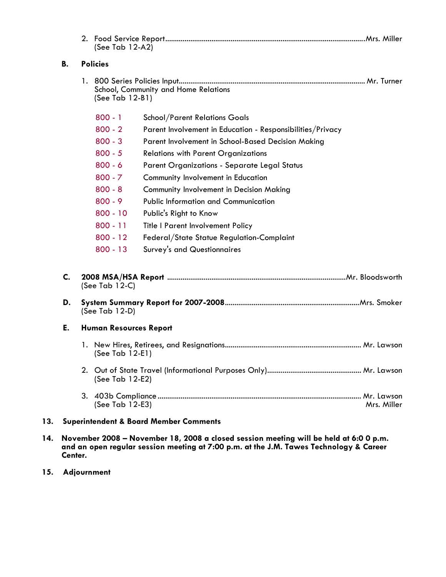|     |                                                   | (See Tab 12-A2)                                           |                                                            |  |
|-----|---------------------------------------------------|-----------------------------------------------------------|------------------------------------------------------------|--|
|     | В.                                                | <b>Policies</b>                                           |                                                            |  |
|     |                                                   | School, Community and Home Relations<br>(See Tab 12-B1)   |                                                            |  |
|     |                                                   | $800 - 1$                                                 | <b>School/Parent Relations Goals</b>                       |  |
|     |                                                   | $800 - 2$                                                 | Parent Involvement in Education - Responsibilities/Privacy |  |
|     |                                                   | $800 - 3$                                                 | Parent Involvement in School-Based Decision Making         |  |
|     |                                                   | $800 - 5$                                                 | <b>Relations with Parent Organizations</b>                 |  |
|     |                                                   | $800 - 6$<br>Parent Organizations - Separate Legal Status |                                                            |  |
|     |                                                   | $800 - 7$                                                 | Community Involvement in Education                         |  |
|     | $800 - 8$                                         |                                                           | <b>Community Involvement in Decision Making</b>            |  |
|     |                                                   | $800 - 9$                                                 | <b>Public Information and Communication</b>                |  |
|     |                                                   | $800 - 10$                                                | Public's Right to Know                                     |  |
|     |                                                   | $800 - 11$                                                | Title I Parent Involvement Policy                          |  |
|     |                                                   | $800 - 12$                                                | Federal/State Statue Regulation-Complaint                  |  |
|     |                                                   | $800 - 13$                                                | Survey's and Questionnaires                                |  |
|     | C.<br>D.                                          | (See Tab $12-C$ )<br>(See Tab $12-D$ )                    |                                                            |  |
|     |                                                   |                                                           |                                                            |  |
|     | E.                                                | <b>Human Resources Report</b>                             |                                                            |  |
|     |                                                   | (See Tab 12-E1)                                           |                                                            |  |
|     |                                                   | (See Tab 12-E2)                                           |                                                            |  |
|     |                                                   | (See Tab 12-E3)<br>Mrs. Miller                            |                                                            |  |
| 13. | <b>Superintendent &amp; Board Member Comments</b> |                                                           |                                                            |  |

- **14. November 2008 November 18, 2008 a closed session meeting will be held at 6:0 0 p.m. and an open regular session meeting at 7:00 p.m. at the J.M. Tawes Technology & Career Center.**
- **15. Adjournment**